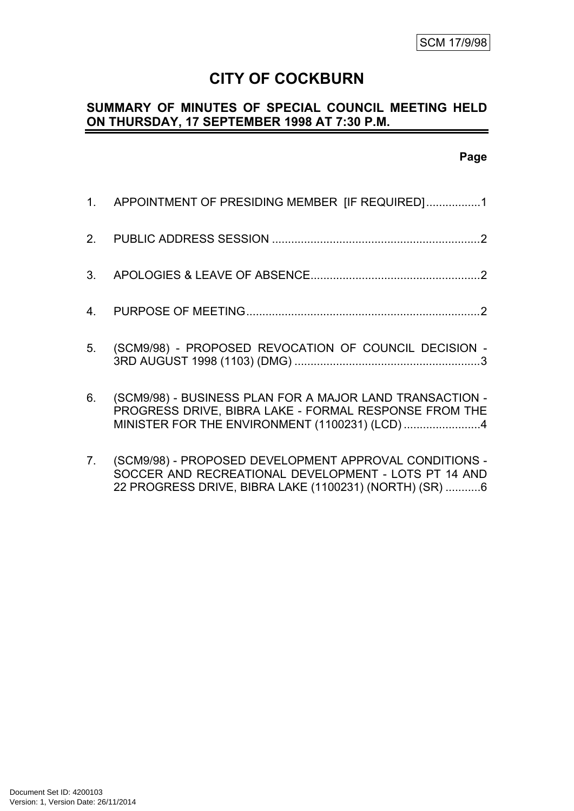# **CITY OF COCKBURN**

# **SUMMARY OF MINUTES OF SPECIAL COUNCIL MEETING HELD ON THURSDAY, 17 SEPTEMBER 1998 AT 7:30 P.M.**

# **Page**

|                | 1. APPOINTMENT OF PRESIDING MEMBER [IF REQUIRED]1                                                                                                                        |
|----------------|--------------------------------------------------------------------------------------------------------------------------------------------------------------------------|
|                |                                                                                                                                                                          |
| 3 <sub>1</sub> |                                                                                                                                                                          |
|                |                                                                                                                                                                          |
| 5 <sub>1</sub> | (SCM9/98) - PROPOSED REVOCATION OF COUNCIL DECISION -                                                                                                                    |
| 6.             | (SCM9/98) - BUSINESS PLAN FOR A MAJOR LAND TRANSACTION -<br>PROGRESS DRIVE, BIBRA LAKE - FORMAL RESPONSE FROM THE<br>MINISTER FOR THE ENVIRONMENT (1100231) (LCD) 4      |
| 7.             | (SCM9/98) - PROPOSED DEVELOPMENT APPROVAL CONDITIONS -<br>SOCCER AND RECREATIONAL DEVELOPMENT - LOTS PT 14 AND<br>22 PROGRESS DRIVE, BIBRA LAKE (1100231) (NORTH) (SR) 6 |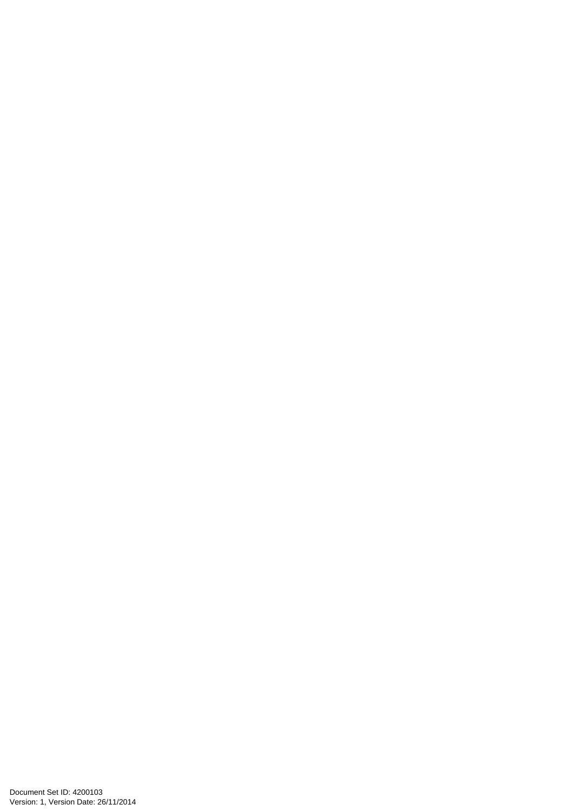Document Set ID: 4200103<br>Version: 1, Version Date: 26/11/2014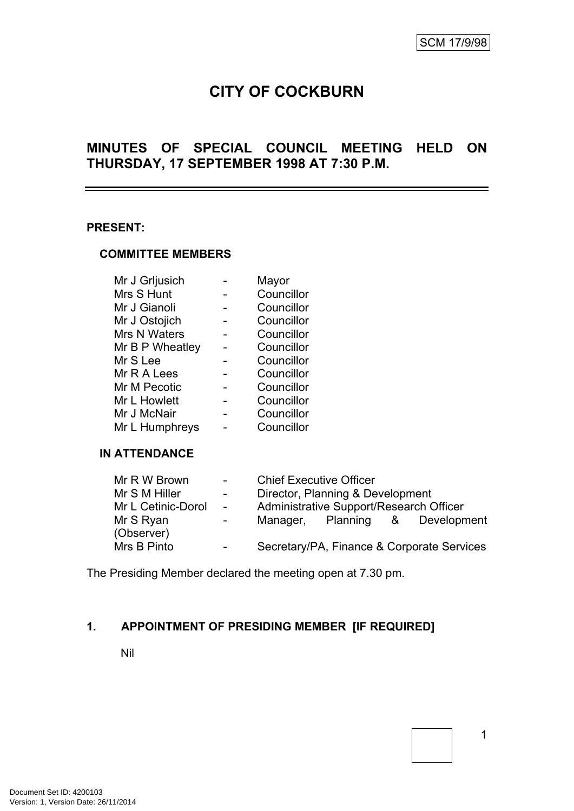# **CITY OF COCKBURN**

# **MINUTES OF SPECIAL COUNCIL MEETING HELD ON THURSDAY, 17 SEPTEMBER 1998 AT 7:30 P.M.**

#### **PRESENT:**

#### **COMMITTEE MEMBERS**

| Mayor      |
|------------|
| Councillor |
| Councillor |
| Councillor |
| Councillor |
| Councillor |
| Councillor |
| Councillor |
| Councillor |
| Councillor |
| Councillor |
| Councillor |
|            |

#### **IN ATTENDANCE**

|  | <b>Chief Executive Officer</b> | Director, Planning & Development<br>Administrative Support/Research Officer<br>Manager, Planning & Development<br>Secretary/PA, Finance & Corporate Services |
|--|--------------------------------|--------------------------------------------------------------------------------------------------------------------------------------------------------------|

The Presiding Member declared the meeting open at 7.30 pm.

# <span id="page-2-0"></span>**1. APPOINTMENT OF PRESIDING MEMBER [IF REQUIRED]**

Nil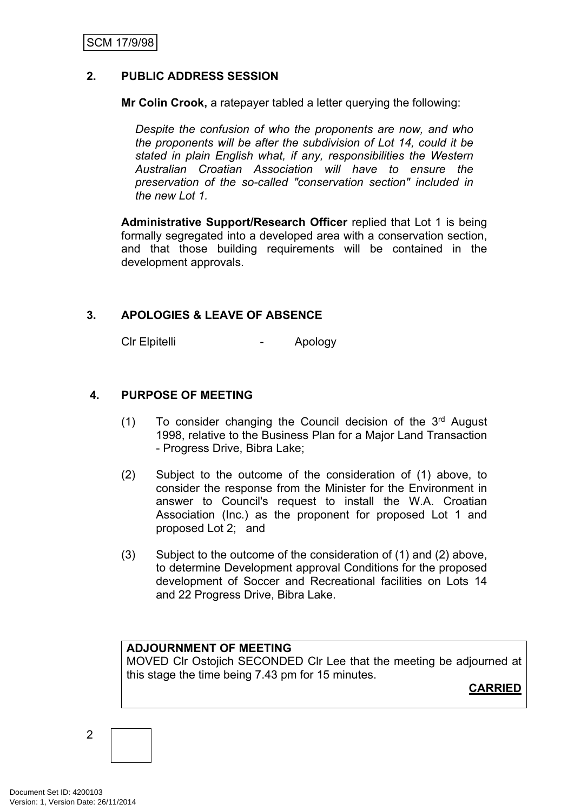# <span id="page-3-0"></span>**2. PUBLIC ADDRESS SESSION**

**Mr Colin Crook,** a ratepayer tabled a letter querying the following:

*Despite the confusion of who the proponents are now, and who the proponents will be after the subdivision of Lot 14, could it be stated in plain English what, if any, responsibilities the Western Australian Croatian Association will have to ensure the preservation of the so-called "conservation section" included in the new Lot 1.*

**Administrative Support/Research Officer** replied that Lot 1 is being formally segregated into a developed area with a conservation section, and that those building requirements will be contained in the development approvals.

# <span id="page-3-1"></span>**3. APOLOGIES & LEAVE OF ABSENCE**

Clr Elpitelli **-** Apology

# <span id="page-3-2"></span>**4. PURPOSE OF MEETING**

- $(1)$  To consider changing the Council decision of the 3 $rd$  August 1998, relative to the Business Plan for a Major Land Transaction - Progress Drive, Bibra Lake;
- (2) Subject to the outcome of the consideration of (1) above, to consider the response from the Minister for the Environment in answer to Council's request to install the W.A. Croatian Association (Inc.) as the proponent for proposed Lot 1 and proposed Lot 2; and
- (3) Subject to the outcome of the consideration of (1) and (2) above, to determine Development approval Conditions for the proposed development of Soccer and Recreational facilities on Lots 14 and 22 Progress Drive, Bibra Lake.

### **ADJOURNMENT OF MEETING**

MOVED Clr Ostojich SECONDED Clr Lee that the meeting be adjourned at this stage the time being 7.43 pm for 15 minutes.

**CARRIED**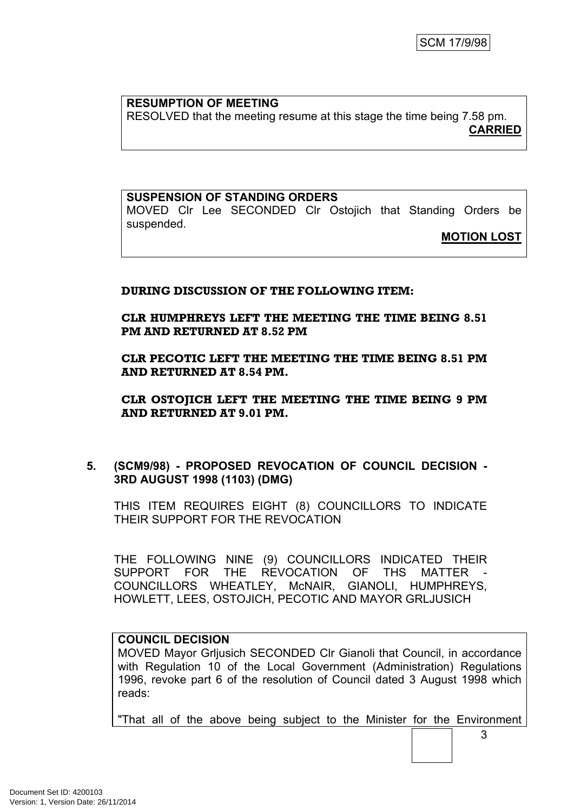# **RESUMPTION OF MEETING**

RESOLVED that the meeting resume at this stage the time being 7.58 pm. **CARRIED**

### **SUSPENSION OF STANDING ORDERS**

MOVED Clr Lee SECONDED Clr Ostojich that Standing Orders be suspended.

**MOTION LOST**

3

#### **DURING DISCUSSION OF THE FOLLOWING ITEM:**

#### **CLR HUMPHREYS LEFT THE MEETING THE TIME BEING 8.51 PM AND RETURNED AT 8.52 PM**

**CLR PECOTIC LEFT THE MEETING THE TIME BEING 8.51 PM AND RETURNED AT 8.54 PM.**

**CLR OSTOJICH LEFT THE MEETING THE TIME BEING 9 PM AND RETURNED AT 9.01 PM.**

# <span id="page-4-0"></span>**5. (SCM9/98) - PROPOSED REVOCATION OF COUNCIL DECISION - 3RD AUGUST 1998 (1103) (DMG)**

THIS ITEM REQUIRES EIGHT (8) COUNCILLORS TO INDICATE THEIR SUPPORT FOR THE REVOCATION

THE FOLLOWING NINE (9) COUNCILLORS INDICATED THEIR SUPPORT FOR THE REVOCATION OF THS MATTER COUNCILLORS WHEATLEY, McNAIR, GIANOLI, HUMPHREYS, HOWLETT, LEES, OSTOJICH, PECOTIC AND MAYOR GRLJUSICH

# **COUNCIL DECISION**

MOVED Mayor Grljusich SECONDED Clr Gianoli that Council, in accordance with Regulation 10 of the Local Government (Administration) Regulations 1996, revoke part 6 of the resolution of Council dated 3 August 1998 which reads:

"That all of the above being subject to the Minister for the Environment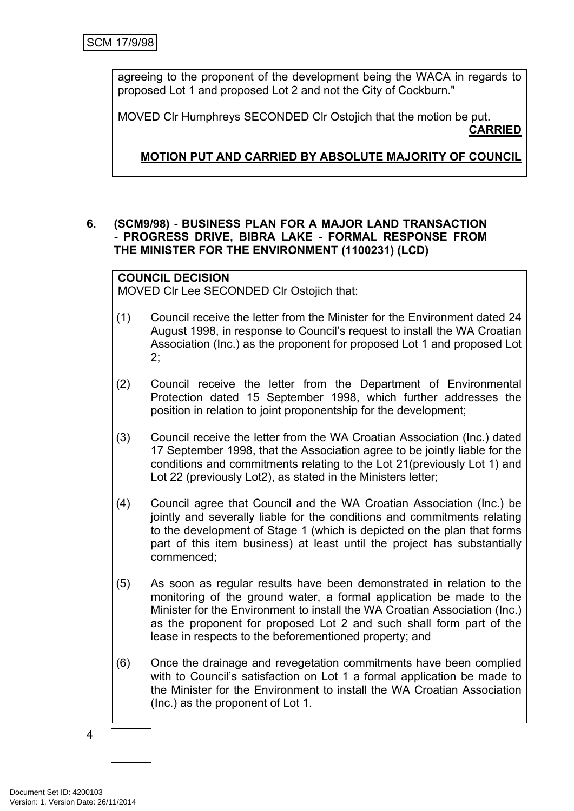agreeing to the proponent of the development being the WACA in regards to proposed Lot 1 and proposed Lot 2 and not the City of Cockburn."

MOVED Clr Humphreys SECONDED Clr Ostojich that the motion be put. **CARRIED**

# **MOTION PUT AND CARRIED BY ABSOLUTE MAJORITY OF COUNCIL**

### <span id="page-5-0"></span>**6. (SCM9/98) - BUSINESS PLAN FOR A MAJOR LAND TRANSACTION - PROGRESS DRIVE, BIBRA LAKE - FORMAL RESPONSE FROM THE MINISTER FOR THE ENVIRONMENT (1100231) (LCD)**

# **COUNCIL DECISION**

MOVED Clr Lee SECONDED Clr Ostojich that:

- (1) Council receive the letter from the Minister for the Environment dated 24 August 1998, in response to Council's request to install the WA Croatian Association (Inc.) as the proponent for proposed Lot 1 and proposed Lot 2;
- (2) Council receive the letter from the Department of Environmental Protection dated 15 September 1998, which further addresses the position in relation to joint proponentship for the development;
- (3) Council receive the letter from the WA Croatian Association (Inc.) dated 17 September 1998, that the Association agree to be jointly liable for the conditions and commitments relating to the Lot 21(previously Lot 1) and Lot 22 (previously Lot2), as stated in the Ministers letter;
- (4) Council agree that Council and the WA Croatian Association (Inc.) be jointly and severally liable for the conditions and commitments relating to the development of Stage 1 (which is depicted on the plan that forms part of this item business) at least until the project has substantially commenced;
- (5) As soon as regular results have been demonstrated in relation to the monitoring of the ground water, a formal application be made to the Minister for the Environment to install the WA Croatian Association (Inc.) as the proponent for proposed Lot 2 and such shall form part of the lease in respects to the beforementioned property; and
- (6) Once the drainage and revegetation commitments have been complied with to Council's satisfaction on Lot 1 a formal application be made to the Minister for the Environment to install the WA Croatian Association (Inc.) as the proponent of Lot 1.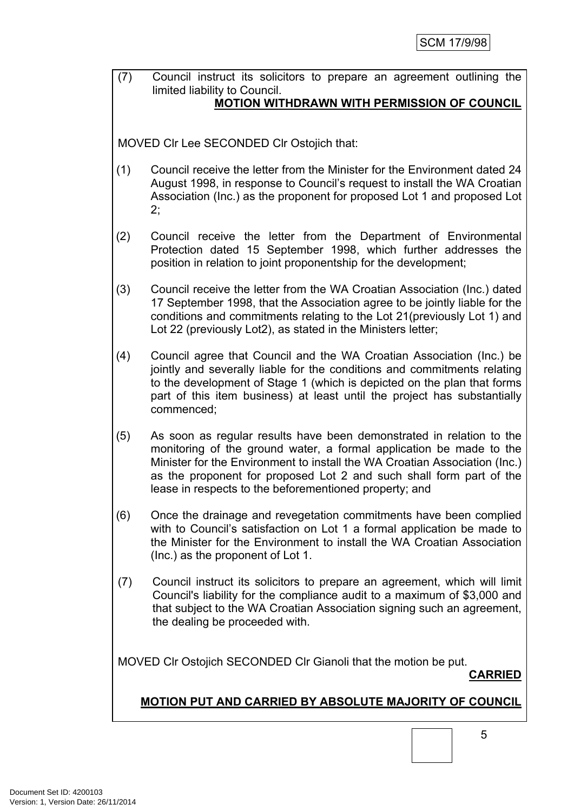(7) Council instruct its solicitors to prepare an agreement outlining the limited liability to Council. **MOTION WITHDRAWN WITH PERMISSION OF COUNCIL**

MOVED Clr Lee SECONDED Clr Ostojich that:

- (1) Council receive the letter from the Minister for the Environment dated 24 August 1998, in response to Council's request to install the WA Croatian Association (Inc.) as the proponent for proposed Lot 1 and proposed Lot 2;
- (2) Council receive the letter from the Department of Environmental Protection dated 15 September 1998, which further addresses the position in relation to joint proponentship for the development;
- (3) Council receive the letter from the WA Croatian Association (Inc.) dated 17 September 1998, that the Association agree to be jointly liable for the conditions and commitments relating to the Lot 21(previously Lot 1) and Lot 22 (previously Lot2), as stated in the Ministers letter;
- (4) Council agree that Council and the WA Croatian Association (Inc.) be jointly and severally liable for the conditions and commitments relating to the development of Stage 1 (which is depicted on the plan that forms part of this item business) at least until the project has substantially commenced;
- (5) As soon as regular results have been demonstrated in relation to the monitoring of the ground water, a formal application be made to the Minister for the Environment to install the WA Croatian Association (Inc.) as the proponent for proposed Lot 2 and such shall form part of the lease in respects to the beforementioned property; and
- (6) Once the drainage and revegetation commitments have been complied with to Council's satisfaction on Lot 1 a formal application be made to the Minister for the Environment to install the WA Croatian Association (Inc.) as the proponent of Lot 1.
- (7) Council instruct its solicitors to prepare an agreement, which will limit Council's liability for the compliance audit to a maximum of \$3,000 and that subject to the WA Croatian Association signing such an agreement, the dealing be proceeded with.

MOVED Clr Ostojich SECONDED Clr Gianoli that the motion be put.

**CARRIED**

# **MOTION PUT AND CARRIED BY ABSOLUTE MAJORITY OF COUNCIL**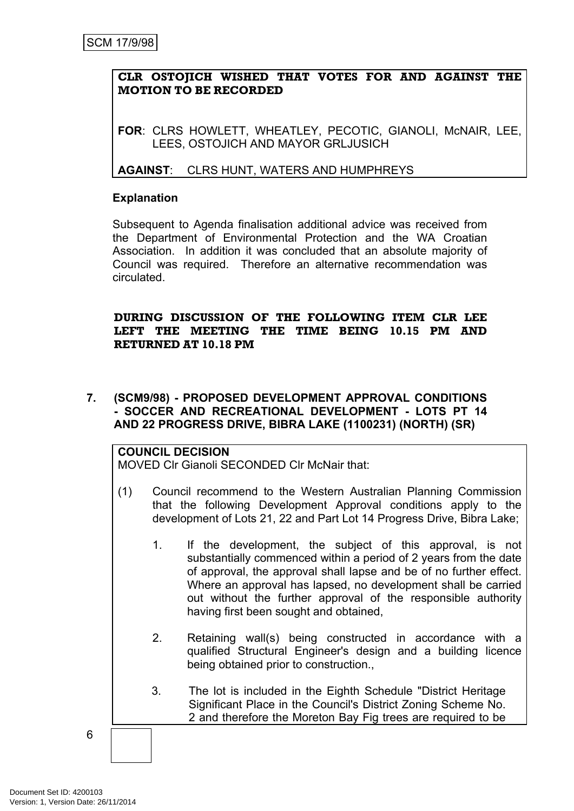# **CLR OSTOJICH WISHED THAT VOTES FOR AND AGAINST THE MOTION TO BE RECORDED**

**FOR**: CLRS HOWLETT, WHEATLEY, PECOTIC, GIANOLI, McNAIR, LEE, LEES, OSTOJICH AND MAYOR GRLJUSICH

### **AGAINST**: CLRS HUNT, WATERS AND HUMPHREYS

### **Explanation**

Subsequent to Agenda finalisation additional advice was received from the Department of Environmental Protection and the WA Croatian Association. In addition it was concluded that an absolute majority of Council was required. Therefore an alternative recommendation was circulated.

#### **DURING DISCUSSION OF THE FOLLOWING ITEM CLR LEE LEFT THE MEETING THE TIME BEING 10.15 PM AND RETURNED AT 10.18 PM**

## <span id="page-7-0"></span>**7. (SCM9/98) - PROPOSED DEVELOPMENT APPROVAL CONDITIONS - SOCCER AND RECREATIONAL DEVELOPMENT - LOTS PT 14 AND 22 PROGRESS DRIVE, BIBRA LAKE (1100231) (NORTH) (SR)**

# **COUNCIL DECISION**

MOVED Clr Gianoli SECONDED Clr McNair that:

- (1) Council recommend to the Western Australian Planning Commission that the following Development Approval conditions apply to the development of Lots 21, 22 and Part Lot 14 Progress Drive, Bibra Lake;
	- 1. If the development, the subject of this approval, is not substantially commenced within a period of 2 years from the date of approval, the approval shall lapse and be of no further effect. Where an approval has lapsed, no development shall be carried out without the further approval of the responsible authority having first been sought and obtained,
	- 2. Retaining wall(s) being constructed in accordance with a qualified Structural Engineer's design and a building licence being obtained prior to construction.,
	- 3. The lot is included in the Eighth Schedule "District Heritage Significant Place in the Council's District Zoning Scheme No. 2 and therefore the Moreton Bay Fig trees are required to be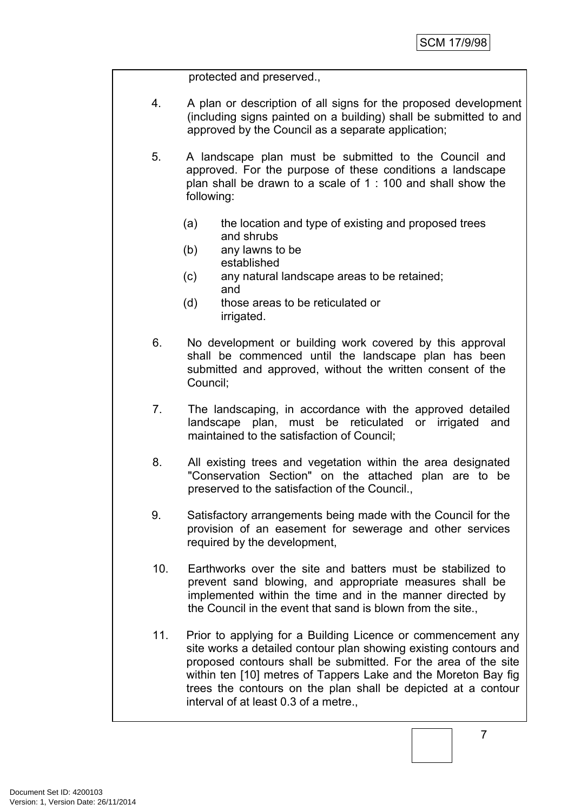protected and preserved.,

- 4. A plan or description of all signs for the proposed development (including signs painted on a building) shall be submitted to and approved by the Council as a separate application;
- 5. A landscape plan must be submitted to the Council and approved. For the purpose of these conditions a landscape plan shall be drawn to a scale of 1 : 100 and shall show the following:
	- (a) the location and type of existing and proposed trees and shrubs
	- (b) any lawns to be established
	- (c) any natural landscape areas to be retained; and
	- (d) those areas to be reticulated or irrigated.
- 6. No development or building work covered by this approval shall be commenced until the landscape plan has been submitted and approved, without the written consent of the Council;
- 7. The landscaping, in accordance with the approved detailed landscape plan, must be reticulated or irrigated and maintained to the satisfaction of Council;
- 8. All existing trees and vegetation within the area designated "Conservation Section" on the attached plan are to be preserved to the satisfaction of the Council.,
- 9. Satisfactory arrangements being made with the Council for the provision of an easement for sewerage and other services required by the development,
- 10. Earthworks over the site and batters must be stabilized to prevent sand blowing, and appropriate measures shall be implemented within the time and in the manner directed by the Council in the event that sand is blown from the site.,
- 11. Prior to applying for a Building Licence or commencement any site works a detailed contour plan showing existing contours and proposed contours shall be submitted. For the area of the site within ten [10] metres of Tappers Lake and the Moreton Bay fig trees the contours on the plan shall be depicted at a contour interval of at least 0.3 of a metre.,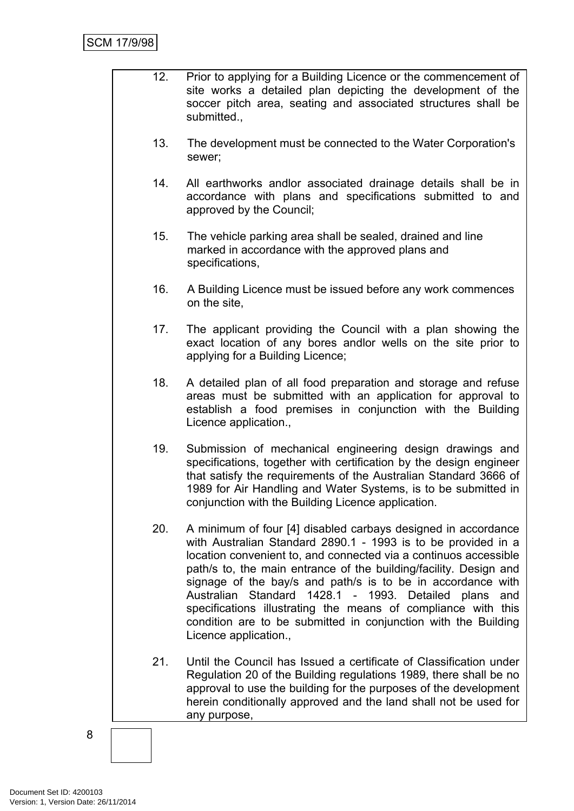| 12. | Prior to applying for a Building Licence or the commencement of<br>site works a detailed plan depicting the development of the<br>soccer pitch area, seating and associated structures shall be<br>submitted.,                                                                                                                                                                                                                                                                                                                                                 |
|-----|----------------------------------------------------------------------------------------------------------------------------------------------------------------------------------------------------------------------------------------------------------------------------------------------------------------------------------------------------------------------------------------------------------------------------------------------------------------------------------------------------------------------------------------------------------------|
| 13. | The development must be connected to the Water Corporation's<br>sewer;                                                                                                                                                                                                                                                                                                                                                                                                                                                                                         |
| 14. | All earthworks and or associated drainage details shall be in<br>accordance with plans and specifications submitted to and<br>approved by the Council;                                                                                                                                                                                                                                                                                                                                                                                                         |
| 15. | The vehicle parking area shall be sealed, drained and line<br>marked in accordance with the approved plans and<br>specifications,                                                                                                                                                                                                                                                                                                                                                                                                                              |
| 16. | A Building Licence must be issued before any work commences<br>on the site.                                                                                                                                                                                                                                                                                                                                                                                                                                                                                    |
| 17. | The applicant providing the Council with a plan showing the<br>exact location of any bores andlor wells on the site prior to<br>applying for a Building Licence;                                                                                                                                                                                                                                                                                                                                                                                               |
| 18. | A detailed plan of all food preparation and storage and refuse<br>areas must be submitted with an application for approval to<br>establish a food premises in conjunction with the Building<br>Licence application.,                                                                                                                                                                                                                                                                                                                                           |
| 19. | Submission of mechanical engineering design drawings and<br>specifications, together with certification by the design engineer<br>that satisfy the requirements of the Australian Standard 3666 of<br>1989 for Air Handling and Water Systems, is to be submitted in<br>conjunction with the Building Licence application.                                                                                                                                                                                                                                     |
| 20. | A minimum of four [4] disabled carbays designed in accordance<br>with Australian Standard 2890.1 - 1993 is to be provided in a<br>location convenient to, and connected via a continuos accessible<br>path/s to, the main entrance of the building/facility. Design and<br>signage of the bay/s and path/s is to be in accordance with<br>Australian Standard 1428.1 - 1993. Detailed plans<br>and<br>specifications illustrating the means of compliance with this<br>condition are to be submitted in conjunction with the Building<br>Licence application., |
| 21. | Until the Council has Issued a certificate of Classification under<br>Regulation 20 of the Building regulations 1989, there shall be no<br>approval to use the building for the purposes of the development<br>herein conditionally approved and the land shall not be used for<br>any purpose,                                                                                                                                                                                                                                                                |
|     |                                                                                                                                                                                                                                                                                                                                                                                                                                                                                                                                                                |